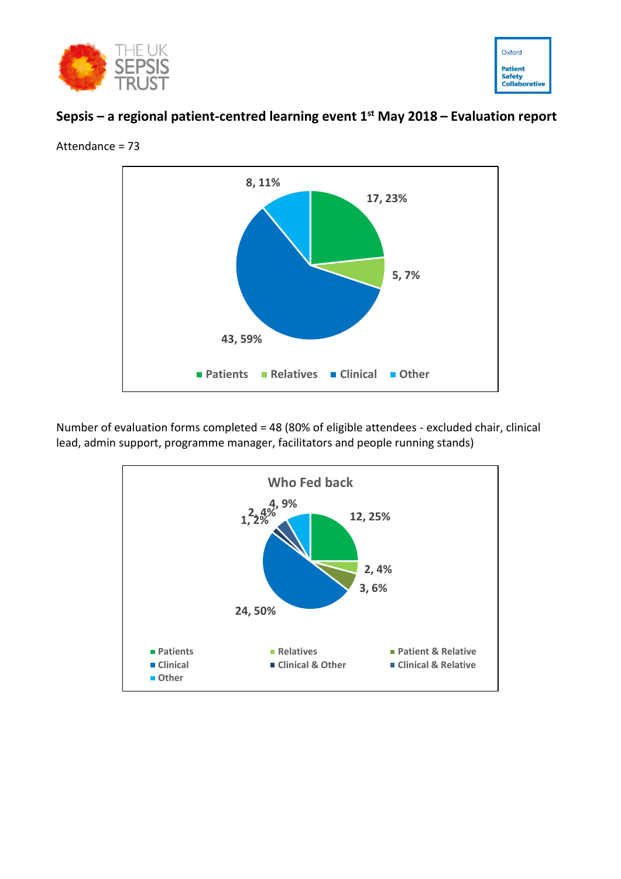



# **Sepsis – a regional patient-centred learning event 1 st May 2018 – Evaluation report**



Attendance = 73

Number of evaluation forms completed = 48 (80% of eligible attendees - excluded chair, clinical lead, admin support, programme manager, facilitators and people running stands)

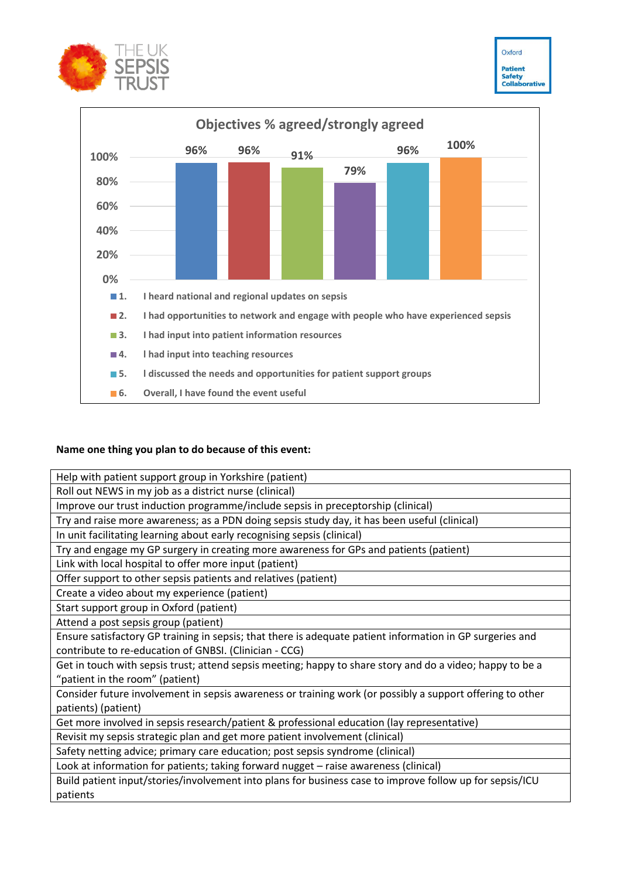



# **Name one thing you plan to do because of this event:**

patients

| Help with patient support group in Yorkshire (patient)                                                    |
|-----------------------------------------------------------------------------------------------------------|
| Roll out NEWS in my job as a district nurse (clinical)                                                    |
| Improve our trust induction programme/include sepsis in preceptorship (clinical)                          |
| Try and raise more awareness; as a PDN doing sepsis study day, it has been useful (clinical)              |
| In unit facilitating learning about early recognising sepsis (clinical)                                   |
| Try and engage my GP surgery in creating more awareness for GPs and patients (patient)                    |
| Link with local hospital to offer more input (patient)                                                    |
| Offer support to other sepsis patients and relatives (patient)                                            |
| Create a video about my experience (patient)                                                              |
| Start support group in Oxford (patient)                                                                   |
| Attend a post sepsis group (patient)                                                                      |
| Ensure satisfactory GP training in sepsis; that there is adequate patient information in GP surgeries and |
| contribute to re-education of GNBSI. (Clinician - CCG)                                                    |
| Get in touch with sepsis trust; attend sepsis meeting; happy to share story and do a video; happy to be a |
| "patient in the room" (patient)                                                                           |
| Consider future involvement in sepsis awareness or training work (or possibly a support offering to other |
| patients) (patient)                                                                                       |
| Get more involved in sepsis research/patient & professional education (lay representative)                |
| Revisit my sepsis strategic plan and get more patient involvement (clinical)                              |
| Safety netting advice; primary care education; post sepsis syndrome (clinical)                            |
| Look at information for patients; taking forward nugget - raise awareness (clinical)                      |
| Build patient input/stories/involvement into plans for business case to improve follow up for sepsis/ICU  |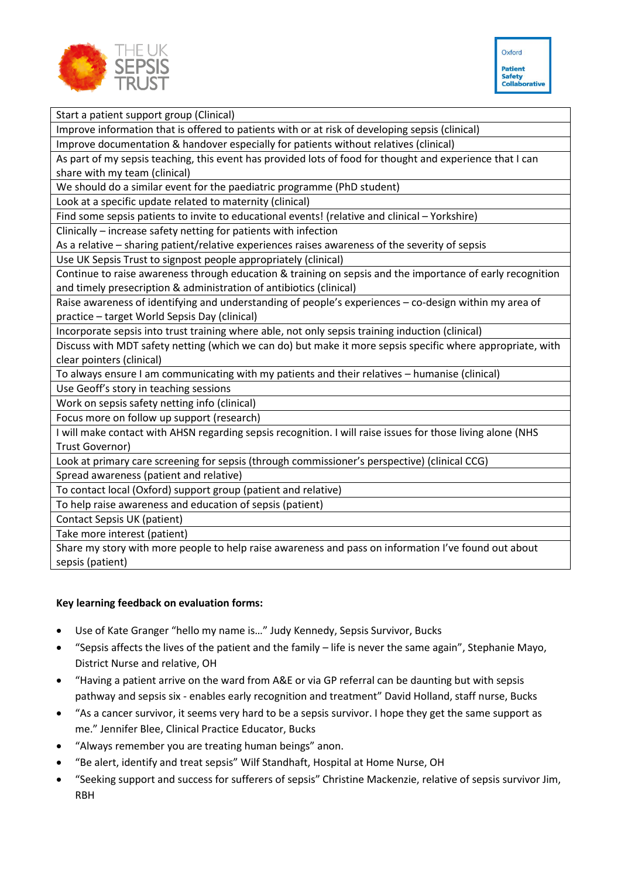



Start a patient support group (Clinical)

Improve information that is offered to patients with or at risk of developing sepsis (clinical)

Improve documentation & handover especially for patients without relatives (clinical)

As part of my sepsis teaching, this event has provided lots of food for thought and experience that I can share with my team (clinical)

We should do a similar event for the paediatric programme (PhD student)

Look at a specific update related to maternity (clinical)

Find some sepsis patients to invite to educational events! (relative and clinical – Yorkshire)

Clinically – increase safety netting for patients with infection

As a relative – sharing patient/relative experiences raises awareness of the severity of sepsis

Use UK Sepsis Trust to signpost people appropriately (clinical)

Continue to raise awareness through education & training on sepsis and the importance of early recognition and timely presecription & administration of antibiotics (clinical)

Raise awareness of identifying and understanding of people's experiences – co-design within my area of practice – target World Sepsis Day (clinical)

Incorporate sepsis into trust training where able, not only sepsis training induction (clinical)

Discuss with MDT safety netting (which we can do) but make it more sepsis specific where appropriate, with clear pointers (clinical)

To always ensure I am communicating with my patients and their relatives – humanise (clinical)

Use Geoff's story in teaching sessions

Work on sepsis safety netting info (clinical)

Focus more on follow up support (research)

I will make contact with AHSN regarding sepsis recognition. I will raise issues for those living alone (NHS Trust Governor)

Look at primary care screening for sepsis (through commissioner's perspective) (clinical CCG)

Spread awareness (patient and relative)

To contact local (Oxford) support group (patient and relative)

To help raise awareness and education of sepsis (patient)

Contact Sepsis UK (patient)

Take more interest (patient)

Share my story with more people to help raise awareness and pass on information I've found out about sepsis (patient)

#### **Key learning feedback on evaluation forms:**

- Use of Kate Granger "hello my name is…" Judy Kennedy, Sepsis Survivor, Bucks
- "Sepsis affects the lives of the patient and the family life is never the same again", Stephanie Mayo, District Nurse and relative, OH
- "Having a patient arrive on the ward from A&E or via GP referral can be daunting but with sepsis pathway and sepsis six - enables early recognition and treatment" David Holland, staff nurse, Bucks
- "As a cancer survivor, it seems very hard to be a sepsis survivor. I hope they get the same support as me." Jennifer Blee, Clinical Practice Educator, Bucks
- "Always remember you are treating human beings" anon.
- "Be alert, identify and treat sepsis" Wilf Standhaft, Hospital at Home Nurse, OH
- "Seeking support and success for sufferers of sepsis" Christine Mackenzie, relative of sepsis survivor Jim, RBH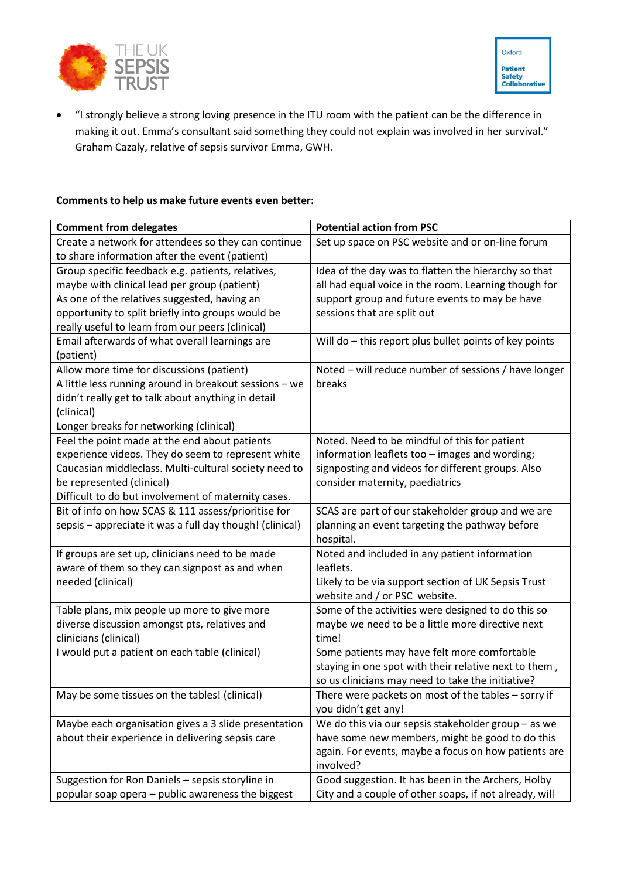



• "I strongly believe a strong loving presence in the ITU room with the patient can be the difference in making it out. Emma's consultant said something they could not explain was involved in her survival." Graham Cazaly, relative of sepsis survivor Emma, GWH.

# **Comments to help us make future events even better:**

| <b>Comment from delegates</b>                            | <b>Potential action from PSC</b>                       |
|----------------------------------------------------------|--------------------------------------------------------|
| Create a network for attendees so they can continue      | Set up space on PSC website and or on-line forum       |
| to share information after the event (patient)           |                                                        |
| Group specific feedback e.g. patients, relatives,        | Idea of the day was to flatten the hierarchy so that   |
| maybe with clinical lead per group (patient)             | all had equal voice in the room. Learning though for   |
| As one of the relatives suggested, having an             | support group and future events to may be have         |
| opportunity to split briefly into groups would be        | sessions that are split out                            |
| really useful to learn from our peers (clinical)         |                                                        |
| Email afterwards of what overall learnings are           | Will do - this report plus bullet points of key points |
| (patient)                                                |                                                        |
| Allow more time for discussions (patient)                | Noted - will reduce number of sessions / have longer   |
| A little less running around in breakout sessions - we   | breaks                                                 |
| didn't really get to talk about anything in detail       |                                                        |
| (clinical)                                               |                                                        |
| Longer breaks for networking (clinical)                  |                                                        |
| Feel the point made at the end about patients            | Noted. Need to be mindful of this for patient          |
| experience videos. They do seem to represent white       | information leaflets too - images and wording;         |
| Caucasian middleclass. Multi-cultural society need to    | signposting and videos for different groups. Also      |
| be represented (clinical)                                | consider maternity, paediatrics                        |
| Difficult to do but involvement of maternity cases.      |                                                        |
| Bit of info on how SCAS & 111 assess/prioritise for      | SCAS are part of our stakeholder group and we are      |
| sepsis - appreciate it was a full day though! (clinical) | planning an event targeting the pathway before         |
|                                                          | hospital.                                              |
| If groups are set up, clinicians need to be made         | Noted and included in any patient information          |
| aware of them so they can signpost as and when           | leaflets.                                              |
| needed (clinical)                                        | Likely to be via support section of UK Sepsis Trust    |
|                                                          | website and / or PSC website.                          |
| Table plans, mix people up more to give more             | Some of the activities were designed to do this so     |
| diverse discussion amongst pts, relatives and            | maybe we need to be a little more directive next       |
| clinicians (clinical)                                    | time!                                                  |
| I would put a patient on each table (clinical)           | Some patients may have felt more comfortable           |
|                                                          | staying in one spot with their relative next to them,  |
|                                                          | so us clinicians may need to take the initiative?      |
| May be some tissues on the tables! (clinical)            | There were packets on most of the tables - sorry if    |
|                                                          | you didn't get any!                                    |
| Maybe each organisation gives a 3 slide presentation     | We do this via our sepsis stakeholder group $-$ as we  |
| about their experience in delivering sepsis care         | have some new members, might be good to do this        |
|                                                          | again. For events, maybe a focus on how patients are   |
|                                                          | involved?                                              |
| Suggestion for Ron Daniels - sepsis storyline in         | Good suggestion. It has been in the Archers, Holby     |
| popular soap opera - public awareness the biggest        | City and a couple of other soaps, if not already, will |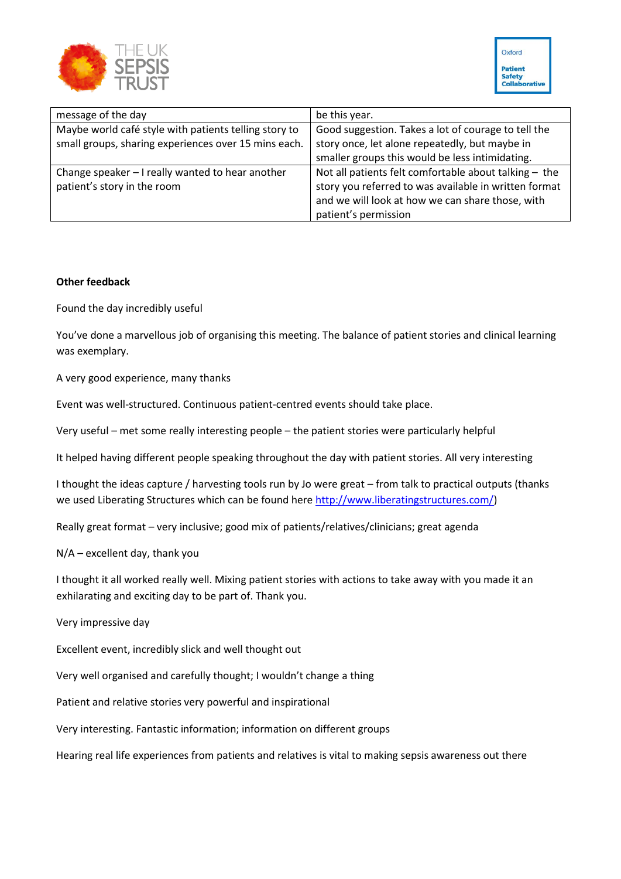

| message of the day                                    | be this year.                                         |
|-------------------------------------------------------|-------------------------------------------------------|
| Maybe world café style with patients telling story to | Good suggestion. Takes a lot of courage to tell the   |
| small groups, sharing experiences over 15 mins each.  | story once, let alone repeatedly, but maybe in        |
|                                                       | smaller groups this would be less intimidating.       |
| Change speaker - I really wanted to hear another      | Not all patients felt comfortable about talking - the |
| patient's story in the room                           | story you referred to was available in written format |
|                                                       | and we will look at how we can share those, with      |
|                                                       | patient's permission                                  |

### **Other feedback**

Found the day incredibly useful

You've done a marvellous job of organising this meeting. The balance of patient stories and clinical learning was exemplary.

A very good experience, many thanks

Event was well-structured. Continuous patient-centred events should take place.

Very useful – met some really interesting people – the patient stories were particularly helpful

It helped having different people speaking throughout the day with patient stories. All very interesting

I thought the ideas capture / harvesting tools run by Jo were great – from talk to practical outputs (thanks we used Liberating Structures which can be found here [http://www.liberatingstructures.com/\)](http://www.liberatingstructures.com/)

Really great format – very inclusive; good mix of patients/relatives/clinicians; great agenda

N/A – excellent day, thank you

I thought it all worked really well. Mixing patient stories with actions to take away with you made it an exhilarating and exciting day to be part of. Thank you.

Very impressive day

Excellent event, incredibly slick and well thought out

Very well organised and carefully thought; I wouldn't change a thing

Patient and relative stories very powerful and inspirational

Very interesting. Fantastic information; information on different groups

Hearing real life experiences from patients and relatives is vital to making sepsis awareness out there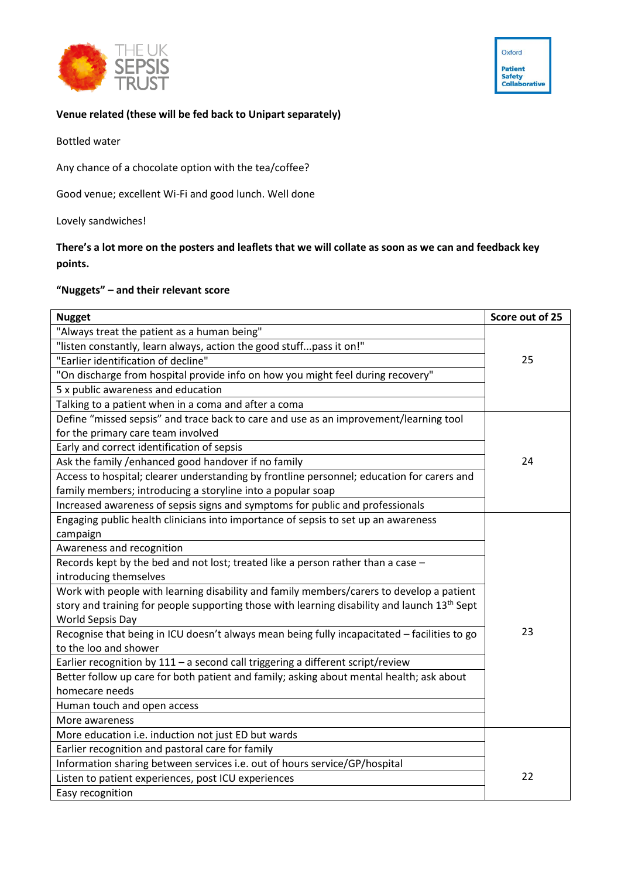



#### **Venue related (these will be fed back to Unipart separately)**

Bottled water

Any chance of a chocolate option with the tea/coffee?

Good venue; excellent Wi-Fi and good lunch. Well done

Lovely sandwiches!

**There's a lot more on the posters and leaflets that we will collate as soon as we can and feedback key points.**

## **"Nuggets" – and their relevant score**

| <b>Nugget</b>                                                                                            | Score out of 25 |
|----------------------------------------------------------------------------------------------------------|-----------------|
| "Always treat the patient as a human being"                                                              |                 |
| "listen constantly, learn always, action the good stuffpass it on!"                                      |                 |
| "Earlier identification of decline"                                                                      | 25              |
| "On discharge from hospital provide info on how you might feel during recovery"                          |                 |
| 5 x public awareness and education                                                                       |                 |
| Talking to a patient when in a coma and after a coma                                                     |                 |
| Define "missed sepsis" and trace back to care and use as an improvement/learning tool                    |                 |
| for the primary care team involved                                                                       |                 |
| Early and correct identification of sepsis                                                               |                 |
| Ask the family /enhanced good handover if no family                                                      | 24              |
| Access to hospital; clearer understanding by frontline personnel; education for carers and               |                 |
| family members; introducing a storyline into a popular soap                                              |                 |
| Increased awareness of sepsis signs and symptoms for public and professionals                            |                 |
| Engaging public health clinicians into importance of sepsis to set up an awareness                       |                 |
| campaign                                                                                                 |                 |
| Awareness and recognition                                                                                |                 |
| Records kept by the bed and not lost; treated like a person rather than a case -                         |                 |
| introducing themselves                                                                                   |                 |
| Work with people with learning disability and family members/carers to develop a patient                 |                 |
| story and training for people supporting those with learning disability and launch 13 <sup>th</sup> Sept |                 |
| <b>World Sepsis Day</b>                                                                                  |                 |
| Recognise that being in ICU doesn't always mean being fully incapacitated - facilities to go             | 23              |
| to the loo and shower                                                                                    |                 |
| Earlier recognition by 111 - a second call triggering a different script/review                          |                 |
| Better follow up care for both patient and family; asking about mental health; ask about                 |                 |
| homecare needs                                                                                           |                 |
| Human touch and open access                                                                              |                 |
| More awareness                                                                                           |                 |
| More education i.e. induction not just ED but wards                                                      |                 |
| Earlier recognition and pastoral care for family                                                         |                 |
| Information sharing between services i.e. out of hours service/GP/hospital                               |                 |
| Listen to patient experiences, post ICU experiences                                                      | 22              |
| Easy recognition                                                                                         |                 |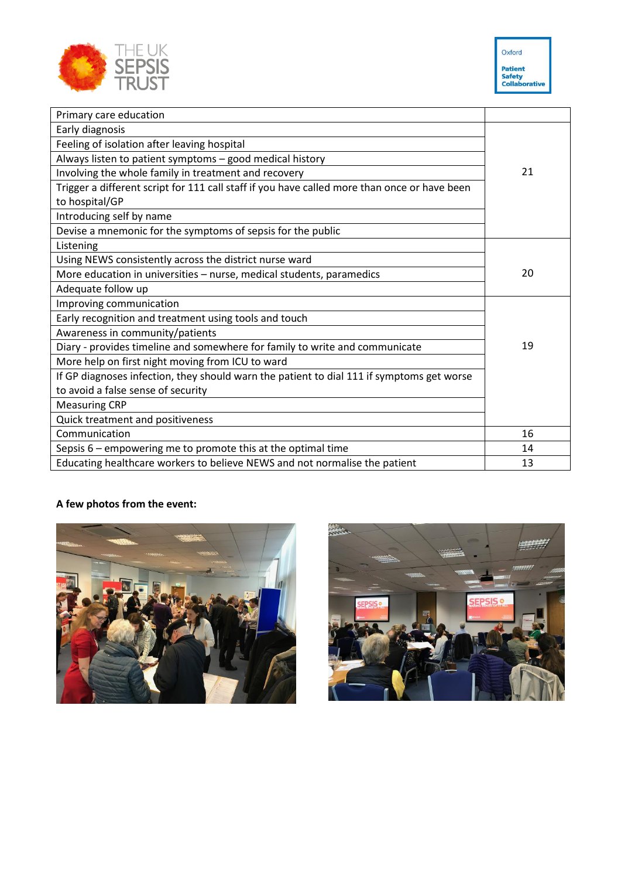



| Primary care education                                                                       |    |
|----------------------------------------------------------------------------------------------|----|
| Early diagnosis                                                                              |    |
| Feeling of isolation after leaving hospital                                                  |    |
|                                                                                              |    |
| Always listen to patient symptoms - good medical history                                     | 21 |
| Involving the whole family in treatment and recovery                                         |    |
| Trigger a different script for 111 call staff if you have called more than once or have been |    |
| to hospital/GP                                                                               |    |
| Introducing self by name                                                                     |    |
| Devise a mnemonic for the symptoms of sepsis for the public                                  |    |
| Listening                                                                                    |    |
| Using NEWS consistently across the district nurse ward                                       |    |
| More education in universities - nurse, medical students, paramedics                         | 20 |
| Adequate follow up                                                                           |    |
| Improving communication                                                                      |    |
| Early recognition and treatment using tools and touch                                        |    |
| Awareness in community/patients                                                              |    |
| Diary - provides timeline and somewhere for family to write and communicate                  | 19 |
| More help on first night moving from ICU to ward                                             |    |
| If GP diagnoses infection, they should warn the patient to dial 111 if symptoms get worse    |    |
| to avoid a false sense of security                                                           |    |
| <b>Measuring CRP</b>                                                                         |    |
| Quick treatment and positiveness                                                             |    |
| Communication                                                                                | 16 |
| Sepsis $6$ – empowering me to promote this at the optimal time                               | 14 |
| Educating healthcare workers to believe NEWS and not normalise the patient                   | 13 |

# **A few photos from the event:**



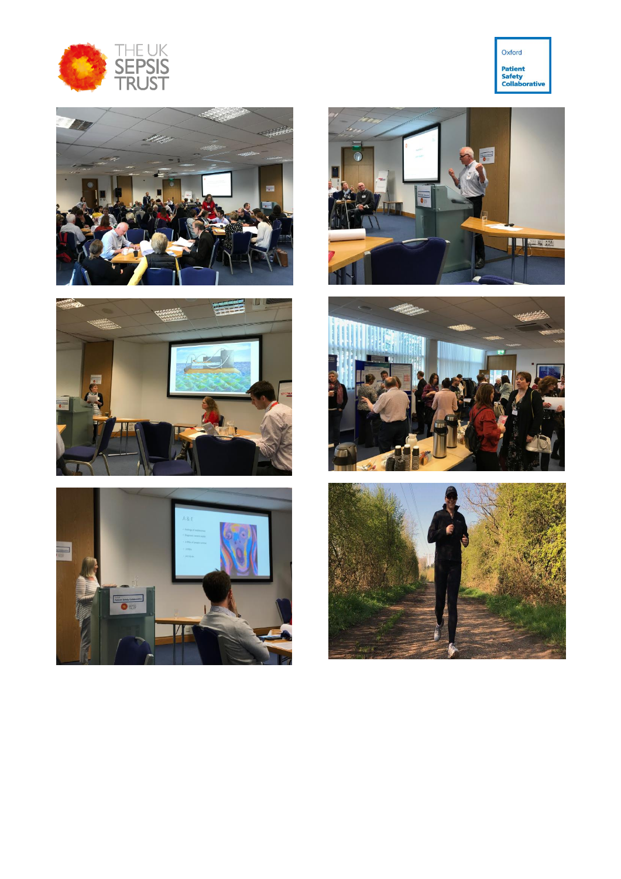













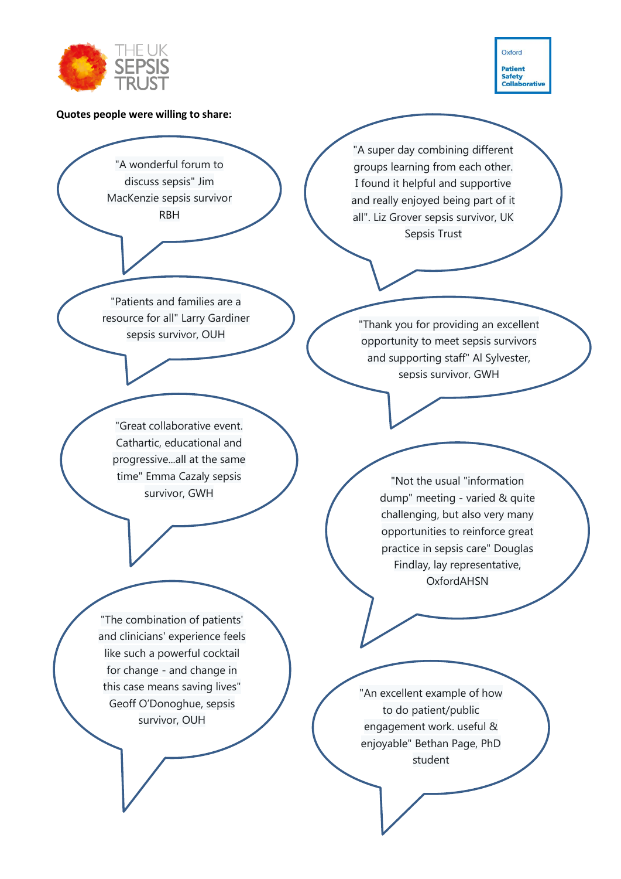

Oxford **Patient** Safety<br>Collaborative

#### **Quotes people were willing to share:**

"A wonderful forum to discuss sepsis" Jim MacKenzie sepsis survivor RBH

"Patients and families are a resource for all" Larry Gardiner sepsis survivor, OUH

"Great collaborative event. Cathartic, educational and progressive...all at the same time" Emma Cazaly sepsis survivor, GWH

"The combination of patients' and clinicians' experience feels like such a powerful cocktail for change - and change in this case means saving lives" Geoff O'Donoghue, sepsis survivor, OUH

"A super day combining different groups learning from each other. I found it helpful and supportive and really enjoyed being part of it all". Liz Grover sepsis survivor, UK Sepsis Trust

"Thank you for providing an excellent opportunity to meet sepsis survivors and supporting staff" Al Sylvester, sepsis survivor, GWH

> "Not the usual "information dump" meeting - varied & quite challenging, but also very many opportunities to reinforce great practice in sepsis care" Douglas Findlay, lay representative, OxfordAHSN

"An excellent example of how to do patient/public engagement work. useful & enjoyable" Bethan Page, PhD student